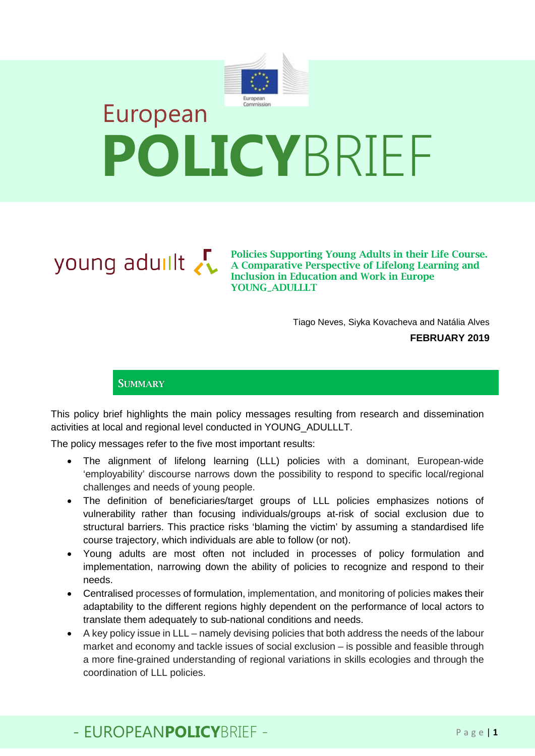

# European **POLICY**BRIEF

Policies Supporting Young Adults in their Life Course. A Comparative Perspective of Lifelong Learning and Inclusion in Education and Work in Europe YOUNG\_ADULLLT

> Tiago Neves, Siyka Kovacheva and Natália Alves **FEBRUARY 2019**

**SUMMARY** 

This policy brief highlights the main policy messages resulting from research and dissemination activities at local and regional level conducted in YOUNG\_ADULLLT.

The policy messages refer to the five most important results:

- The alignment of lifelong learning (LLL) policies with a dominant, European-wide 'employability' discourse narrows down the possibility to respond to specific local/regional challenges and needs of young people.
- The definition of beneficiaries/target groups of LLL policies emphasizes notions of vulnerability rather than focusing individuals/groups at-risk of social exclusion due to structural barriers. This practice risks 'blaming the victim' by assuming a standardised life course trajectory, which individuals are able to follow (or not).
- Young adults are most often not included in processes of policy formulation and implementation, narrowing down the ability of policies to recognize and respond to their needs.
- Centralised processes of formulation, implementation, and monitoring of policies makes their adaptability to the different regions highly dependent on the performance of local actors to translate them adequately to sub-national conditions and needs.
- A key policy issue in LLL namely devising policies that both address the needs of the labour market and economy and tackle issues of social exclusion – is possible and feasible through a more fine-grained understanding of regional variations in skills ecologies and through the coordination of LLL policies.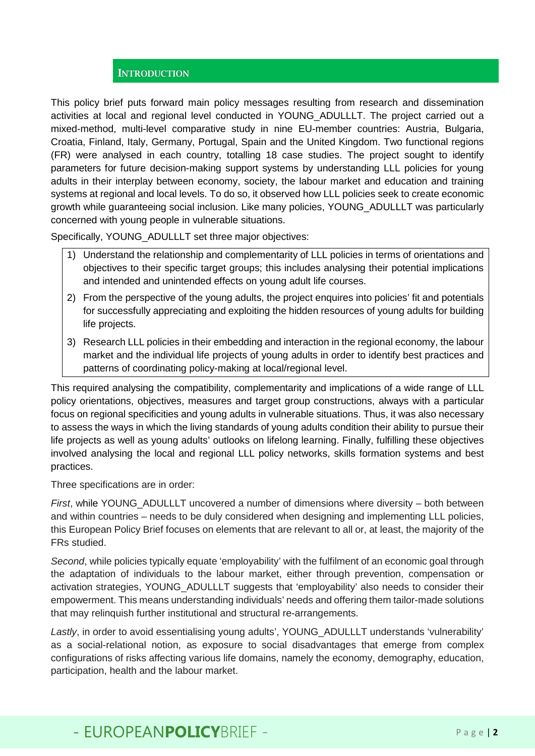## **INTRODUCTION**

This policy brief puts forward main policy messages resulting from research and dissemination activities at local and regional level conducted in YOUNG\_ADULLLT. The project carried out a mixed-method, multi-level comparative study in nine EU-member countries: Austria, Bulgaria, Croatia, Finland, Italy, Germany, Portugal, Spain and the United Kingdom. Two functional regions (FR) were analysed in each country, totalling 18 case studies. The project sought to identify parameters for future decision-making support systems by understanding LLL policies for young adults in their interplay between economy, society, the labour market and education and training systems at regional and local levels. To do so, it observed how LLL policies seek to create economic growth while guaranteeing social inclusion. Like many policies, YOUNG\_ADULLLT was particularly concerned with young people in vulnerable situations.

Specifically, YOUNG ADULLLT set three major objectives:

- 1) Understand the relationship and complementarity of LLL policies in terms of orientations and objectives to their specific target groups; this includes analysing their potential implications and intended and unintended effects on young adult life courses.
- 2) From the perspective of the young adults, the project enquires into policies' fit and potentials for successfully appreciating and exploiting the hidden resources of young adults for building life projects.
- 3) Research LLL policies in their embedding and interaction in the regional economy, the labour market and the individual life projects of young adults in order to identify best practices and patterns of coordinating policy-making at local/regional level.

This required analysing the compatibility, complementarity and implications of a wide range of LLL policy orientations, objectives, measures and target group constructions, always with a particular focus on regional specificities and young adults in vulnerable situations. Thus, it was also necessary to assess the ways in which the living standards of young adults condition their ability to pursue their life projects as well as young adults' outlooks on lifelong learning. Finally, fulfilling these objectives involved analysing the local and regional LLL policy networks, skills formation systems and best practices.

Three specifications are in order:

*First*, while YOUNG\_ADULLLT uncovered a number of dimensions where diversity – both between and within countries – needs to be duly considered when designing and implementing LLL policies, this European Policy Brief focuses on elements that are relevant to all or, at least, the majority of the FRs studied.

*Second*, while policies typically equate 'employability' with the fulfilment of an economic goal through the adaptation of individuals to the labour market, either through prevention, compensation or activation strategies, YOUNG\_ADULLLT suggests that 'employability' also needs to consider their empowerment. This means understanding individuals' needs and offering them tailor-made solutions that may relinquish further institutional and structural re-arrangements.

*Lastly*, in order to avoid essentialising young adults', YOUNG\_ADULLLT understands 'vulnerability' as a social-relational notion, as exposure to social disadvantages that emerge from complex configurations of risks affecting various life domains, namely the economy, demography, education, participation, health and the labour market.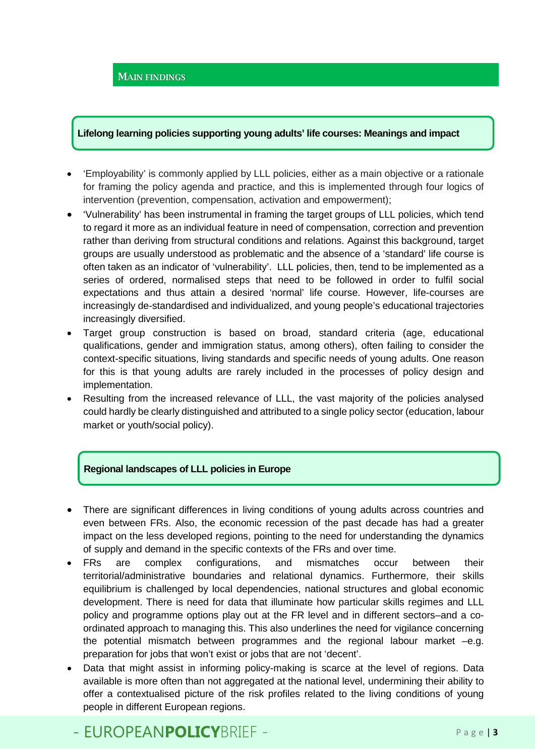## MAIN FINDINGS

#### **Lifelong learning policies supporting young adults' life courses: Meanings and impact**

- 'Employability' is commonly applied by LLL policies, either as a main objective or a rationale for framing the policy agenda and practice, and this is implemented through four logics of intervention (prevention, compensation, activation and empowerment);
- 'Vulnerability' has been instrumental in framing the target groups of LLL policies, which tend to regard it more as an individual feature in need of compensation, correction and prevention rather than deriving from structural conditions and relations. Against this background, target groups are usually understood as problematic and the absence of a 'standard' life course is often taken as an indicator of 'vulnerability'. LLL policies, then, tend to be implemented as a series of ordered, normalised steps that need to be followed in order to fulfil social expectations and thus attain a desired 'normal' life course. However, life-courses are increasingly de-standardised and individualized, and young people's educational trajectories increasingly diversified.
- Target group construction is based on broad, standard criteria (age, educational qualifications, gender and immigration status, among others), often failing to consider the context-specific situations, living standards and specific needs of young adults. One reason for this is that young adults are rarely included in the processes of policy design and implementation.
- Resulting from the increased relevance of LLL, the vast majority of the policies analysed could hardly be clearly distinguished and attributed to a single policy sector (education, labour market or youth/social policy).

#### **Regional landscapes of LLL policies in Europe**

- There are significant differences in living conditions of young adults across countries and even between FRs. Also, the economic recession of the past decade has had a greater impact on the less developed regions, pointing to the need for understanding the dynamics of supply and demand in the specific contexts of the FRs and over time.
- FRs are complex configurations, and mismatches occur between their territorial/administrative boundaries and relational dynamics. Furthermore, their skills equilibrium is challenged by local dependencies, national structures and global economic development. There is need for data that illuminate how particular skills regimes and LLL policy and programme options play out at the FR level and in different sectors–and a coordinated approach to managing this. This also underlines the need for vigilance concerning the potential mismatch between programmes and the regional labour market –e.g. preparation for jobs that won't exist or jobs that are not 'decent'.
- Data that might assist in informing policy-making is scarce at the level of regions. Data available is more often than not aggregated at the national level, undermining their ability to offer a contextualised picture of the risk profiles related to the living conditions of young people in different European regions.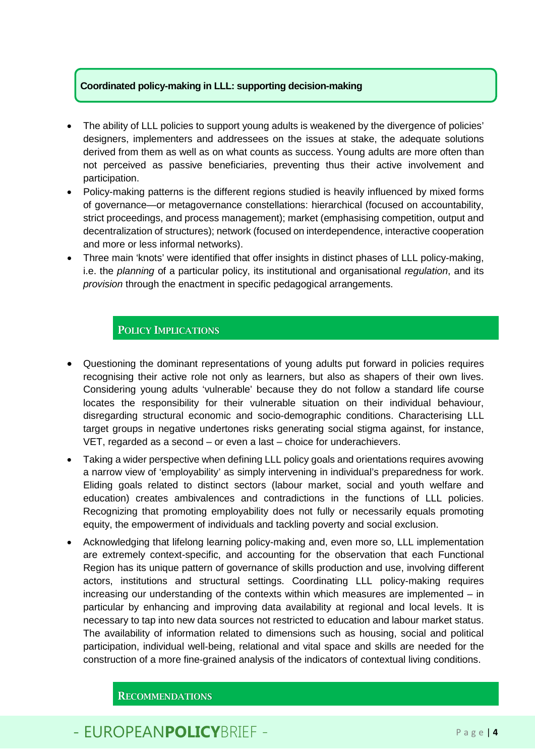#### **Coordinated policy-making in LLL: supporting decision-making**

- The ability of LLL policies to support young adults is weakened by the divergence of policies' designers, implementers and addressees on the issues at stake, the adequate solutions derived from them as well as on what counts as success. Young adults are more often than not perceived as passive beneficiaries, preventing thus their active involvement and participation.
- Policy-making patterns is the different regions studied is heavily influenced by mixed forms of governance—or metagovernance constellations: hierarchical (focused on accountability, strict proceedings, and process management); market (emphasising competition, output and decentralization of structures); network (focused on interdependence, interactive cooperation and more or less informal networks).
- Three main 'knots' were identified that offer insights in distinct phases of LLL policy-making, i.e. the *planning* of a particular policy, its institutional and organisational *regulation*, and its *provision* through the enactment in specific pedagogical arrangements.

## POLICY IMPLICATIONS

- Questioning the dominant representations of young adults put forward in policies requires recognising their active role not only as learners, but also as shapers of their own lives. Considering young adults 'vulnerable' because they do not follow a standard life course locates the responsibility for their vulnerable situation on their individual behaviour, disregarding structural economic and socio-demographic conditions. Characterising LLL target groups in negative undertones risks generating social stigma against, for instance, VET, regarded as a second – or even a last – choice for underachievers.
- Taking a wider perspective when defining LLL policy goals and orientations requires avowing a narrow view of 'employability' as simply intervening in individual's preparedness for work. Eliding goals related to distinct sectors (labour market, social and youth welfare and education) creates ambivalences and contradictions in the functions of LLL policies. Recognizing that promoting employability does not fully or necessarily equals promoting equity, the empowerment of individuals and tackling poverty and social exclusion.
- Acknowledging that lifelong learning policy-making and, even more so, LLL implementation are extremely context-specific, and accounting for the observation that each Functional Region has its unique pattern of governance of skills production and use, involving different actors, institutions and structural settings. Coordinating LLL policy-making requires increasing our understanding of the contexts within which measures are implemented – in particular by enhancing and improving data availability at regional and local levels. It is necessary to tap into new data sources not restricted to education and labour market status. The availability of information related to dimensions such as housing, social and political participation, individual well-being, relational and vital space and skills are needed for the construction of a more fine-grained analysis of the indicators of contextual living conditions.

RECOMMENDATIONS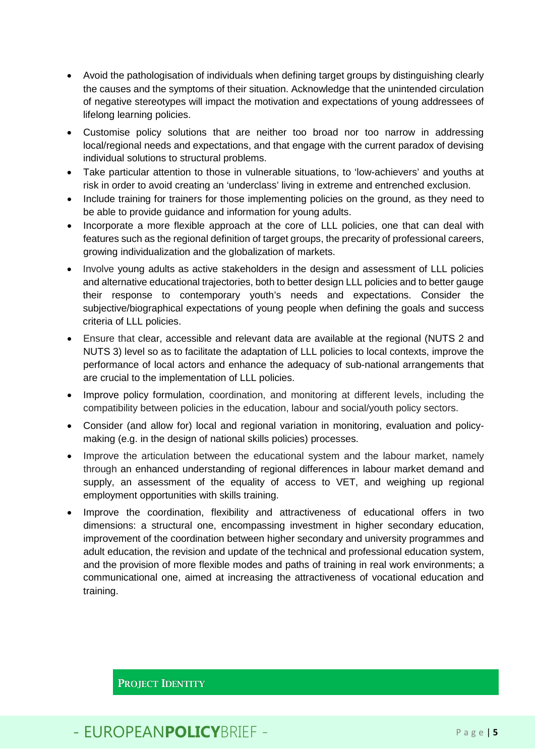- Avoid the pathologisation of individuals when defining target groups by distinguishing clearly the causes and the symptoms of their situation. Acknowledge that the unintended circulation of negative stereotypes will impact the motivation and expectations of young addressees of lifelong learning policies.
- Customise policy solutions that are neither too broad nor too narrow in addressing local/regional needs and expectations, and that engage with the current paradox of devising individual solutions to structural problems.
- Take particular attention to those in vulnerable situations, to 'low-achievers' and youths at risk in order to avoid creating an 'underclass' living in extreme and entrenched exclusion.
- Include training for trainers for those implementing policies on the ground, as they need to be able to provide guidance and information for young adults.
- Incorporate a more flexible approach at the core of LLL policies, one that can deal with features such as the regional definition of target groups, the precarity of professional careers, growing individualization and the globalization of markets.
- Involve young adults as active stakeholders in the design and assessment of LLL policies and alternative educational trajectories, both to better design LLL policies and to better gauge their response to contemporary youth's needs and expectations. Consider the subjective/biographical expectations of young people when defining the goals and success criteria of LLL policies.
- Ensure that clear, accessible and relevant data are available at the regional (NUTS 2 and NUTS 3) level so as to facilitate the adaptation of LLL policies to local contexts, improve the performance of local actors and enhance the adequacy of sub-national arrangements that are crucial to the implementation of LLL policies.
- Improve policy formulation, coordination, and monitoring at different levels, including the compatibility between policies in the education, labour and social/youth policy sectors.
- Consider (and allow for) local and regional variation in monitoring, evaluation and policymaking (e.g. in the design of national skills policies) processes.
- Improve the articulation between the educational system and the labour market, namely through an enhanced understanding of regional differences in labour market demand and supply, an assessment of the equality of access to VET, and weighing up regional employment opportunities with skills training.
- Improve the coordination, flexibility and attractiveness of educational offers in two dimensions: a structural one, encompassing investment in higher secondary education, improvement of the coordination between higher secondary and university programmes and adult education, the revision and update of the technical and professional education system, and the provision of more flexible modes and paths of training in real work environments; a communicational one, aimed at increasing the attractiveness of vocational education and training.

PROJECT IDENTITY